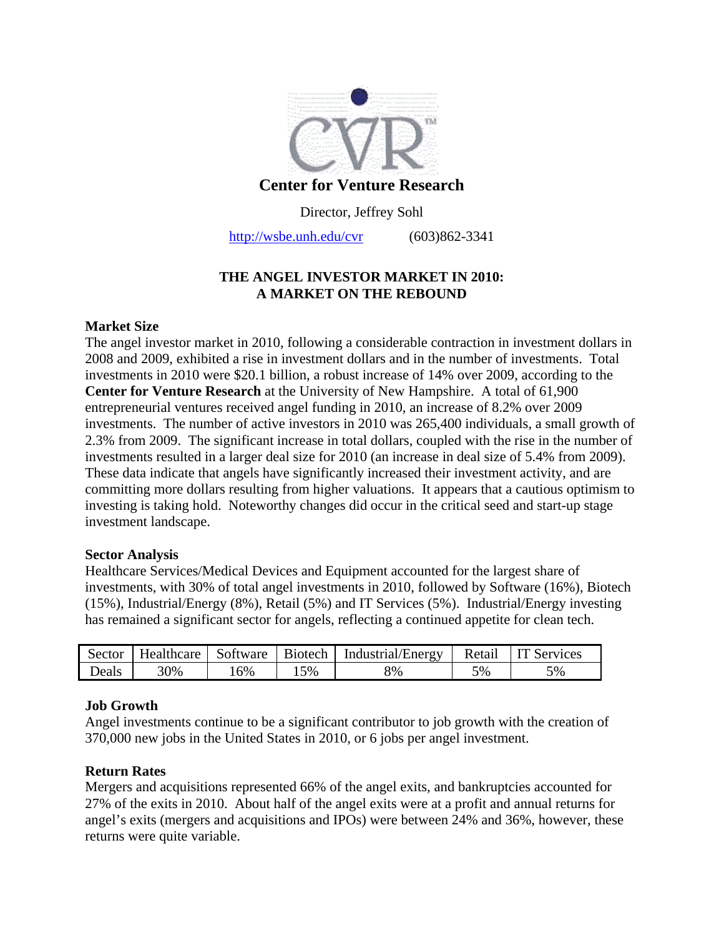

## **Center for Venture Research**

Director, Jeffrey Sohl

http://wsbe.unh.edu/cvr (603)862-3341

# **THE ANGEL INVESTOR MARKET IN 2010: A MARKET ON THE REBOUND**

### **Market Size**

The angel investor market in 2010, following a considerable contraction in investment dollars in 2008 and 2009, exhibited a rise in investment dollars and in the number of investments. Total investments in 2010 were \$20.1 billion, a robust increase of 14% over 2009, according to the **Center for Venture Research** at the University of New Hampshire. A total of 61,900 entrepreneurial ventures received angel funding in 2010, an increase of 8.2% over 2009 investments. The number of active investors in 2010 was 265,400 individuals, a small growth of 2.3% from 2009. The significant increase in total dollars, coupled with the rise in the number of investments resulted in a larger deal size for 2010 (an increase in deal size of 5.4% from 2009). These data indicate that angels have significantly increased their investment activity, and are committing more dollars resulting from higher valuations. It appears that a cautious optimism to investing is taking hold. Noteworthy changes did occur in the critical seed and start-up stage investment landscape.

#### **Sector Analysis**

Healthcare Services/Medical Devices and Equipment accounted for the largest share of investments, with 30% of total angel investments in 2010, followed by Software (16%), Biotech (15%), Industrial/Energy (8%), Retail (5%) and IT Services (5%). Industrial/Energy investing has remained a significant sector for angels, reflecting a continued appetite for clean tech.

| Sector | Healthcare Software |    | Biotech | Industrial/Energy | Retail | <b>IT Services</b> |
|--------|---------------------|----|---------|-------------------|--------|--------------------|
| Deals  | 30%                 | 6% | 5%      | 8%                | 5%     | 5%                 |

## **Job Growth**

Angel investments continue to be a significant contributor to job growth with the creation of 370,000 new jobs in the United States in 2010, or 6 jobs per angel investment.

## **Return Rates**

Mergers and acquisitions represented 66% of the angel exits, and bankruptcies accounted for 27% of the exits in 2010. About half of the angel exits were at a profit and annual returns for angel's exits (mergers and acquisitions and IPOs) were between 24% and 36%, however, these returns were quite variable.